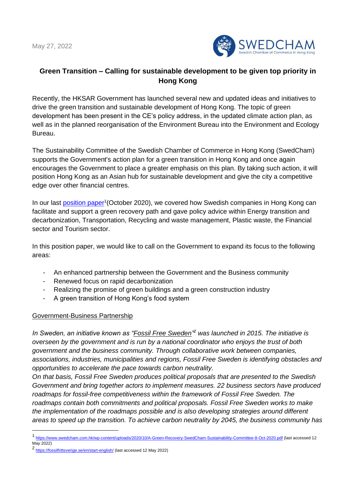May 27, 2022



# **Green Transition – Calling for sustainable development to be given top priority in Hong Kong**

Recently, the HKSAR Government has launched several new and updated ideas and initiatives to drive the green transition and sustainable development of Hong Kong. The topic of green development has been present in the CE's policy address, in the updated climate action plan, as well as in the planned reorganisation of the Environment Bureau into the Environment and Ecology Bureau.

The Sustainability Committee of the Swedish Chamber of Commerce in Hong Kong (SwedCham) supports the Government's action plan for a green transition in Hong Kong and once again encourages the Government to place a greater emphasis on this plan. By taking such action, it will position Hong Kong as an Asian hub for sustainable development and give the city a competitive edge over other financial centres.

In our last [position paper](https://www.swedcham.com.hk/wp-content/uploads/2020/10/A-Green-Recovery-SwedCham-Sustainability-Committee-8-Oct-2020.pdf)<sup>1</sup> (October 2020), we covered how Swedish companies in Hong Kong can facilitate and support a green recovery path and gave policy advice within Energy transition and decarbonization, Transportation, Recycling and waste management, Plastic waste, the Financial sector and Tourism sector.

In this position paper, we would like to call on the Government to expand its focus to the following areas:

- An enhanced partnership between the Government and the Business community
- Renewed focus on rapid decarbonization
- Realizing the promise of green buildings and a green construction industry
- A green transition of Hong Kong's food system

## Government-Business Partnership

*In Sweden, an initiative known as "Fossil Free Sweden" <sup>2</sup> was launched in 2015. The initiative is overseen by the government and is run by a national coordinator who enjoys the trust of both government and the business community. Through collaborative work between companies, associations, industries, municipalities and regions, Fossil Free Sweden is identifying obstacles and opportunities to accelerate the pace towards carbon neutrality.* 

*On that basis, Fossil Free Sweden produces political proposals that are presented to the Swedish Government and bring together actors to implement measures. 22 business sectors have produced roadmaps for fossil-free competitiveness within the framework of Fossil Free Sweden. The roadmaps contain both commitments and political proposals. Fossil Free Sweden works to make the implementation of the roadmaps possible and is also developing strategies around different areas to speed up the transition. To achieve carbon neutrality by 2045, the business community has* 

<sup>1&</sup>lt;br><https://www.swedcham.com.hk/wp-content/uploads/2020/10/A-Green-Recovery-SwedCham-Sustainability-Committee-8-Oct-2020.pdf> (last accessed 12 May 2022)

<sup>2</sup> <https://fossilfrittsverige.se/en/start-english/> (last accessed 12 May 2022)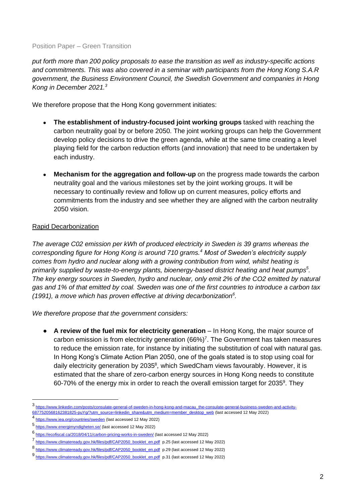#### Position Paper – Green Transition

*put forth more than 200 policy proposals to ease the transition as well as industry-specific actions and commitments. This was also covered in a seminar with participants from the Hong Kong S.A.R government, the Business Environment Council, the Swedish Government and companies in Hong Kong in December 2021.<sup>3</sup>*

We therefore propose that the Hong Kong government initiates:

- **The establishment of industry-focused joint working groups** tasked with reaching the carbon neutrality goal by or before 2050. The joint working groups can help the Government develop policy decisions to drive the green agenda, while at the same time creating a level playing field for the carbon reduction efforts (and innovation) that need to be undertaken by each industry.
- **Mechanism for the aggregation and follow-up** on the progress made towards the carbon neutrality goal and the various milestones set by the joint working groups. It will be necessary to continually review and follow up on current measures, policy efforts and commitments from the industry and see whether they are aligned with the carbon neutrality 2050 vision.

## Rapid Decarbonization

*The average C02 emission per kWh of produced electricity in Sweden is 39 grams whereas the corresponding figure for Hong Kong is around 710 grams.<sup>4</sup> Most of Sweden's electricity supply comes from hydro and nuclear along with a growing contribution from wind, whilst heating is primarily supplied by waste-to-energy plants, bioenergy-based district heating and heat pumps<sup>5</sup> . The key energy sources in Sweden, hydro and nuclear, only emit 2% of the CO2 emitted by natural gas and 1% of that emitted by coal. Sweden was one of the first countries to introduce a carbon tax (1991), a move which has proven effective at driving decarbonization<sup>6</sup> .* 

*We therefore propose that the government considers:*

● **A review of the fuel mix for electricity generation** – In Hong Kong, the major source of carbon emission is from electricity generation  $(66%)^7$ . The Government has taken measures to reduce the emission rate, for instance by initiating the substitution of coal with natural gas. In Hong Kong's Climate Action Plan 2050, one of the goals stated is to stop using coal for daily electricity generation by 2035<sup>8</sup>, which SwedCham views favourably. However, it is estimated that the share of zero-carbon energy sources in Hong Kong needs to constitute 60-70% of the energy mix in order to reach the overall emission target for 2035<sup>9</sup>. They

<sup>3</sup> [https://www.linkedin.com/posts/consulate-general-of-sweden-in-hong-kong-and-macau\\_the-consulate-general-business-sweden-and-activity-](https://www.linkedin.com/posts/consulate-general-of-sweden-in-hong-kong-and-macau_the-consulate-general-business-sweden-and-activity-6877520568162381825-puYg/?utm_source=linkedin_share&utm_medium=member_desktop_web)[6877520568162381825-puYg/?utm\\_source=linkedin\\_share&utm\\_medium=member\\_desktop\\_web](https://www.linkedin.com/posts/consulate-general-of-sweden-in-hong-kong-and-macau_the-consulate-general-business-sweden-and-activity-6877520568162381825-puYg/?utm_source=linkedin_share&utm_medium=member_desktop_web) (last accessed 12 May 2022)

<sup>4</sup>

<https://www.iea.org/countries/sweden> (last accessed 12 May 2022)

<sup>5</sup> <https://www.energimyndigheten.se/> (last accessed 12 May 2022)

<sup>6</sup> <https://ecofiscal.ca/2018/04/11/carbon-pricing-works-in-sweden/> (last accessed 12 May 2022)

<sup>7</sup> [https://www.climateready.gov.hk/files/pdf/CAP2050\\_booklet\\_en.pdf](https://www.climateready.gov.hk/files/pdf/CAP2050_booklet_en.pdf) p.25 (last accessed 12 May 2022)

<sup>8</sup> [https://www.climateready.gov.hk/files/pdf/CAP2050\\_booklet\\_en.pdf](https://www.climateready.gov.hk/files/pdf/CAP2050_booklet_en.pdf) p.29 (last accessed 12 May 2022)

<sup>9</sup> [https://www.climateready.gov.hk/files/pdf/CAP2050\\_booklet\\_en.pdf](https://www.climateready.gov.hk/files/pdf/CAP2050_booklet_en.pdf) p.31 (last accessed 12 May 2022)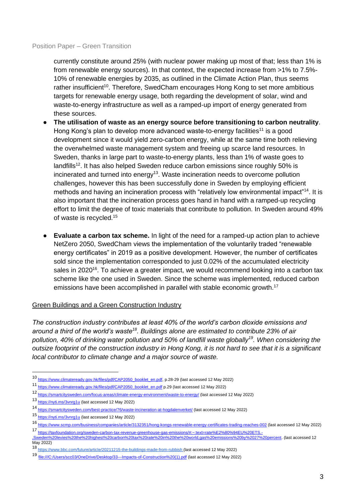#### Position Paper – Green Transition

currently constitute around 25% (with nuclear power making up most of that; less than 1% is from renewable energy sources). In that context, the expected increase from >1% to 7.5%- 10% of renewable energies by 2035, as outlined in the Climate Action Plan, thus seems rather insufficient<sup>10</sup>. Therefore, SwedCham encourages Hong Kong to set more ambitious targets for renewable energy usage, both regarding the development of solar, wind and waste-to-energy infrastructure as well as a ramped-up import of energy generated from these sources.

- **The utilisation of waste as an energy source before transitioning to carbon neutrality**. Hong Kong's plan to develop more advanced waste-to-energy facilities<sup>11</sup> is a good development since it would yield zero-carbon energy, while at the same time both relieving the overwhelmed waste management system and freeing up scarce land resources. In Sweden, thanks in large part to waste-to-energy plants, less than 1% of waste goes to  $landfills<sup>12</sup>$ . It has also helped Sweden reduce carbon emissions since roughly 50% is incinerated and turned into energy<sup>13</sup>. Waste incineration needs to overcome pollution challenges, however this has been successfully done in Sweden by employing efficient methods and having an incineration process with "relatively low environmental impact"<sup>14</sup>. It is also important that the incineration process goes hand in hand with a ramped-up recycling effort to limit the degree of toxic materials that contribute to pollution. In Sweden around 49% of waste is recycled.<sup>15</sup>
- **Evaluate a carbon tax scheme.** In light of the need for a ramped-up action plan to achieve NetZero 2050, SwedCham views the implementation of the voluntarily traded "renewable energy certificates" in 2019 as a positive development. However, the number of certificates sold since the implementation corresponded to just 0.02% of the accumulated electricity sales in 2020<sup>16</sup>. To achieve a greater impact, we would recommend looking into a carbon tax scheme like the one used in Sweden. Since the scheme was implemented, reduced carbon emissions have been accomplished in parallel with stable economic growth.<sup>17</sup>

## Green Buildings and a Green Construction Industry

*The construction industry contributes at least 40% of the world's carbon dioxide emissions and around a third of the world's waste<sup>18</sup>. Buildings alone are estimated to contribute 23% of air pollution, 40% of drinking water pollution and 50% of landfill waste globally<sup>19</sup>. When considering the outsize footprint of the construction industry in Hong Kong, it is not hard to see that it is a significant local contributor to climate change and a major source of waste.* 

<sup>10</sup> [https://www.climateready.gov.hk/files/pdf/CAP2050\\_booklet\\_en.pdf,](https://www.climateready.gov.hk/files/pdf/CAP2050_booklet_en.pdf) p.28-29 (last accessed 12 May 2022)

<sup>11</sup> [https://www.climateready.gov.hk/files/pdf/CAP2050\\_booklet\\_en.pdf](https://www.climateready.gov.hk/files/pdf/CAP2050_booklet_en.pdf) p.29 (last accessed 12 May 2022)

<sup>12</sup> <https://smartcitysweden.com/focus-areas/climate-energy-environment/waste-to-energy/> (last accessed 12 May 2022)

<sup>13</sup> <https://nyti.ms/3vnrg1u> (last accessed 12 May 2022)

<sup>14</sup> <https://smartcitysweden.com/best-practice/76/waste-incineration-at-hogdalenverket/> (last accessed 12 May 2022)

<sup>15</sup> <https://nyti.ms/3vnrg1u> (last accessed 12 May 2022)

<sup>16</sup> <https://www.scmp.com/business/companies/article/3132351/hong-kongs-renewable-energy-certificates-trading-reaches-002> (last accessed 12 May 2022)

<sup>17</sup> [https://taxfoundation.org/sweden-carbon-tax-revenue-greenhouse-gas-emissions/#:~:text=rate%E2%80%94EU%20ETS.-](https://taxfoundation.org/sweden-carbon-tax-revenue-greenhouse-gas-emissions/#:~:text=rate%E2%80%94EU%20ETS.-,Sweden%20levies%20the%20highest%20carbon%20tax%20rate%20in%20the%20world,gas%20emissions%20by%2027%20percent) [,Sweden%20levies%20the%20highest%20carbon%20tax%20rate%20in%20the%20world,gas%20emissions%20by%2027%20percent.](https://taxfoundation.org/sweden-carbon-tax-revenue-greenhouse-gas-emissions/#:~:text=rate%E2%80%94EU%20ETS.-,Sweden%20levies%20the%20highest%20carbon%20tax%20rate%20in%20the%20world,gas%20emissions%20by%2027%20percent) (last accessed 12 May 2022)

<sup>18</sup> <https://www.bbc.com/future/article/20211215-the-buildings-made-from-rubbish> (last accessed 12 May 2022)

<sup>19</sup> [file:///C:/Users/scc03/OneDrive/Desktop/33---Impacts-of-Construction%20\(1\).pdf](about:blank) (last accessed 12 May 2022)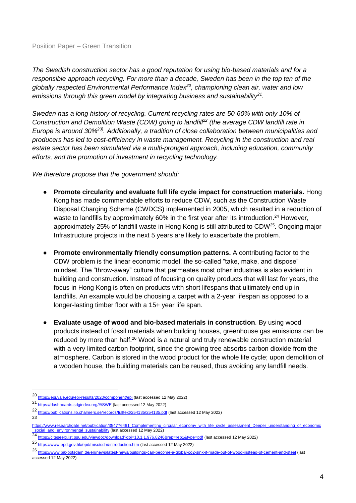*The Swedish construction sector has a good reputation for using bio-based materials and for a responsible approach recycling. For more than a decade, Sweden has been in the top ten of the globally respected Environmental Performance Index<sup>20</sup>, championing clean air, water and low emissions through this green model by integrating business and sustainability<sup>21</sup> .*

*Sweden has a long history of recycling. Current recycling rates are 50-60% with only 10% of Construction and Demolition Waste (CDW) going to landfill<sup>22</sup> (the average CDW landfill rate in Europe is around 30%<sup>23)</sup>.* Additionally, a tradition of close collaboration between municipalities and *producers has led to cost-efficiency in waste management. Recycling in the construction and real estate sector has been stimulated via a multi-pronged approach, including education, community efforts, and the promotion of investment in recycling technology.* 

*We therefore propose that the government should:*

- **Promote circularity and evaluate full life cycle impact for construction materials.** Hong Kong has made commendable efforts to reduce CDW, such as the Construction Waste Disposal Charging Scheme (CWDCS) implemented in 2005, which resulted in a reduction of waste to landfills by approximately 60% in the first year after its introduction.<sup>24</sup> However, approximately 25% of landfill waste in Hong Kong is still attributed to CDW<sup>25</sup>. Ongoing major Infrastructure projects in the next 5 years are likely to exacerbate the problem.
- **Promote environmentally friendly consumption patterns.** A contributing factor to the CDW problem is the linear economic model, the so-called "take, make, and dispose" mindset. The "throw-away" culture that permeates most other industries is also evident in building and construction. Instead of focusing on quality products that will last for years, the focus in Hong Kong is often on products with short lifespans that ultimately end up in landfills. An example would be choosing a carpet with a 2-year lifespan as opposed to a longer-lasting timber floor with a 15+ year life span.
- **Evaluate usage of wood and bio-based materials in construction**. By using wood products instead of fossil materials when building houses, greenhouse gas emissions can be reduced by more than half.<sup>26</sup> Wood is a natural and truly renewable construction material with a very limited carbon footprint, since the growing tree absorbs carbon dioxide from the atmosphere. Carbon is stored in the wood product for the whole life cycle; upon demolition of a wooden house, the building materials can be reused, thus avoiding any landfill needs.

23

<sup>20</sup> <https://epi.yale.edu/epi-results/2020/component/epi> (last accessed 12 May 2022)

<sup>21</sup> <https://dashboards.sdgindex.org/#/SWE> (last accessed 12 May 2022)

<sup>22</sup> <https://publications.lib.chalmers.se/records/fulltext/254135/254135.pdf> (last accessed 12 May 2022)

[https://www.researchgate.net/publication/354776461\\_Complementing\\_circular\\_economy\\_with\\_life\\_cycle\\_assessment\\_Deeper\\_understanding\\_of\\_economic](https://www.researchgate.net/publication/354776461_Complementing_circular_economy_with_life_cycle_assessment_Deeper_understanding_of_economic_social_and_environmental_sustainability) social\_and\_environmental\_sustainability (last accessed 12 May 2022)<br>24 https://eitopeogr.ist.ppu.odu/sigurdoo/douglood2doi=10.1.1.076.9246

<https://citeseerx.ist.psu.edu/viewdoc/download?doi=10.1.1.976.8246&rep=rep1&type=pdf> (last accessed 12 May 2022)

<sup>25</sup> <https://www.epd.gov.hk/epd/misc/cdm/introduction.htm> (last accessed 12 May 2022)

<sup>26</sup> <https://www.pik-potsdam.de/en/news/latest-news/buildings-can-become-a-global-co2-sink-if-made-out-of-wood-instead-of-cement-and-steel> (last accessed 12 May 2022)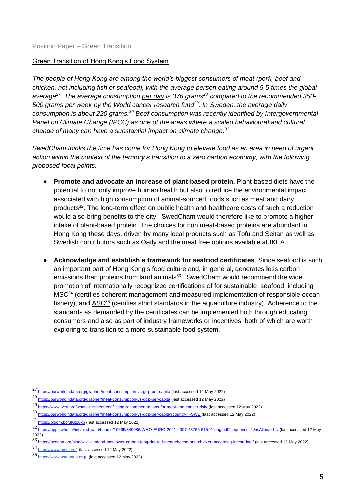## Green Transition of Hong Kong's Food System

*The people of Hong Kong are among the world's biggest consumers of meat (pork, beef and chicken, not including fish or seafood), with the average person eating around 5.5 times the global average<sup>27</sup>. The average consumption per day is 376 grams<sup>28</sup> compared to the recommended 350- 500 grams per week by the World cancer research fund<sup>29</sup>. In Sweden, the average daily consumption is about 220 grams.<sup>30</sup> Beef consumption was recently identified by Intergovernmental Panel on Climate Change (IPCC) as one of the areas where a scaled behavioural and cultural change of many can have a substantial impact on climate change.<sup>31</sup>*

*SwedCham thinks the time has come for Hong Kong to elevate food as an area in need of urgent action within the context of the territory's transition to a zero carbon economy, with the following proposed focal points:*

- **Promote and advocate an increase of plant-based protein.** Plant-based diets have the potential to not only improve human health but also to reduce the environmental impact associated with high consumption of animal-sourced foods such as meat and dairy products<sup>32</sup>. The long-term effect on public health and healthcare costs of such a reduction would also bring benefits to the city. SwedCham would therefore like to promote a higher intake of plant-based protein. The choices for non meat-based proteins are abundant in Hong Kong these days, driven by many local products such as Tofu and Seitan as well as Swedish contributors such as Oatly and the meat free options available at IKEA..
- **Acknowledge and establish a framework for seafood certificates**. Since seafood is such an important part of Hong Kong's food culture and, in general, generates less carbon emissions than proteins from land animals<sup>33</sup>, SwedCham would recommend the wide promotion of internationally recognized certifications of for sustainable seafood, including MSC<sup>34</sup> (certifies coherent management and measured implementation of responsible ocean fishery), and  $ASC<sup>35</sup>$  (certifies strict standards in the aquaculture industry). Adherence to the standards as demanded by the certificates can be implemented both through educating consumers and also as part of industry frameworks or incentives, both of which are worth exploring to transition to a more sustainable food system.

<sup>27</sup> <https://ourworldindata.org/grapher/meat-consumption-vs-gdp-per-capita> (last accessed 12 May 2022)

<sup>28</sup> <https://ourworldindata.org/grapher/meat-consumption-vs-gdp-per-capita> (last accessed 12 May 2022)

<sup>29</sup> <https://www.wcrf.org/whats-the-beef-conflicting-recommendations-for-meat-and-cancer-risk/> (last accessed 12 May 2022)

<sup>30</sup> <https://ourworldindata.org/grapher/meat-consumption-vs-gdp-per-capita?country=~SWE> (last accessed 12 May 2022)

<sup>31</sup> <https://bloom.bg/3Kk20xb> (last accessed 12 May 2022)

<sup>32</sup> <https://apps.who.int/iris/bitstream/handle/10665/349086/WHO-EURO-2021-4007-43766-61591-eng.pdf?sequence=1&isAllowed=y> (last accessed 12 May 2022)

<sup>33</sup> <https://oceana.org/blog/wild-seafood-has-lower-carbon-footprint-red-meat-cheese-and-chicken-according-latest-data/> (last accessed 12 May 2022)

<sup>34</sup> <https://www.msc.org/>(last accessed 12 May 2022)

<sup>35</sup> <https://www.asc-aqua.org/>(last accessed 12 May 2022)